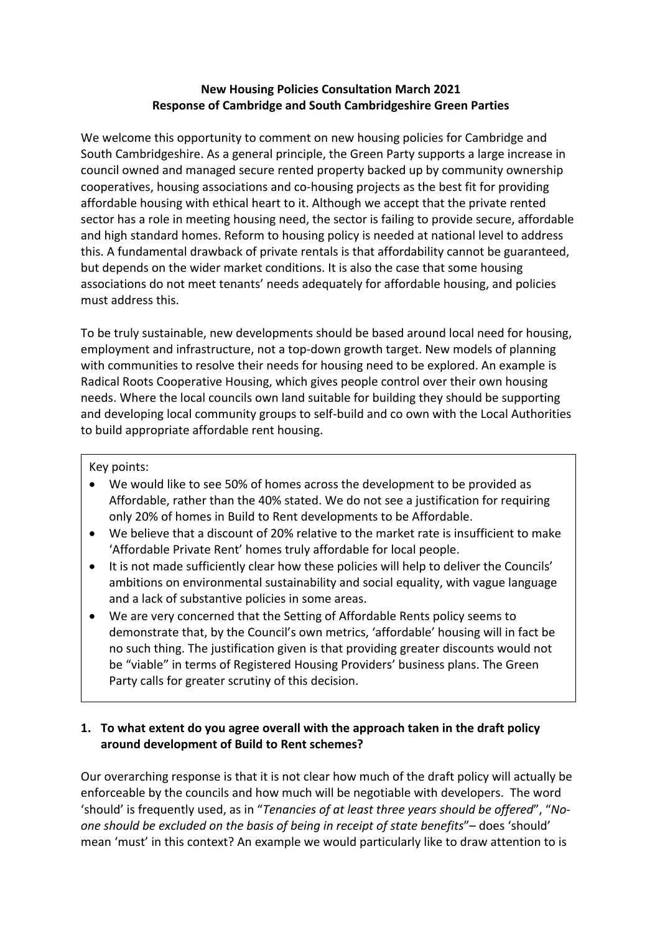#### **New Housing Policies Consultation March 2021 Response of Cambridge and South Cambridgeshire Green Parties**

We welcome this opportunity to comment on new housing policies for Cambridge and South Cambridgeshire. As a general principle, the Green Party supports a large increase in council owned and managed secure rented property backed up by community ownership cooperatives, housing associations and co-housing projects as the best fit for providing affordable housing with ethical heart to it. Although we accept that the private rented sector has a role in meeting housing need, the sector is failing to provide secure, affordable and high standard homes. Reform to housing policy is needed at national level to address this. A fundamental drawback of private rentals is that affordability cannot be guaranteed, but depends on the wider market conditions. It is also the case that some housing associations do not meet tenants' needs adequately for affordable housing, and policies must address this.

To be truly sustainable, new developments should be based around local need for housing, employment and infrastructure, not a top-down growth target. New models of planning with communities to resolve their needs for housing need to be explored. An example is Radical Roots Cooperative Housing, which gives people control over their own housing needs. Where the local councils own land suitable for building they should be supporting and developing local community groups to self-build and co own with the Local Authorities to build appropriate affordable rent housing.

#### Key points:

- We would like to see 50% of homes across the development to be provided as Affordable, rather than the 40% stated. We do not see a justification for requiring only 20% of homes in Build to Rent developments to be Affordable.
- We believe that a discount of 20% relative to the market rate is insufficient to make 'Affordable Private Rent' homes truly affordable for local people.
- It is not made sufficiently clear how these policies will help to deliver the Councils' ambitions on environmental sustainability and social equality, with vague language and a lack of substantive policies in some areas.
- We are very concerned that the Setting of Affordable Rents policy seems to demonstrate that, by the Council's own metrics, 'affordable' housing will in fact be no such thing. The justification given is that providing greater discounts would not be "viable" in terms of Registered Housing Providers' business plans. The Green Party calls for greater scrutiny of this decision.

# **1. To what extent do you agree overall with the approach taken in the draft policy around development of Build to Rent schemes?**

Our overarching response is that it is not clear how much of the draft policy will actually be enforceable by the councils and how much will be negotiable with developers. The word 'should' is frequently used, as in "*Tenancies of at least three years should be offered*", "*Noone should be excluded on the basis of being in receipt of state benefits*"– does 'should' mean 'must' in this context? An example we would particularly like to draw attention to is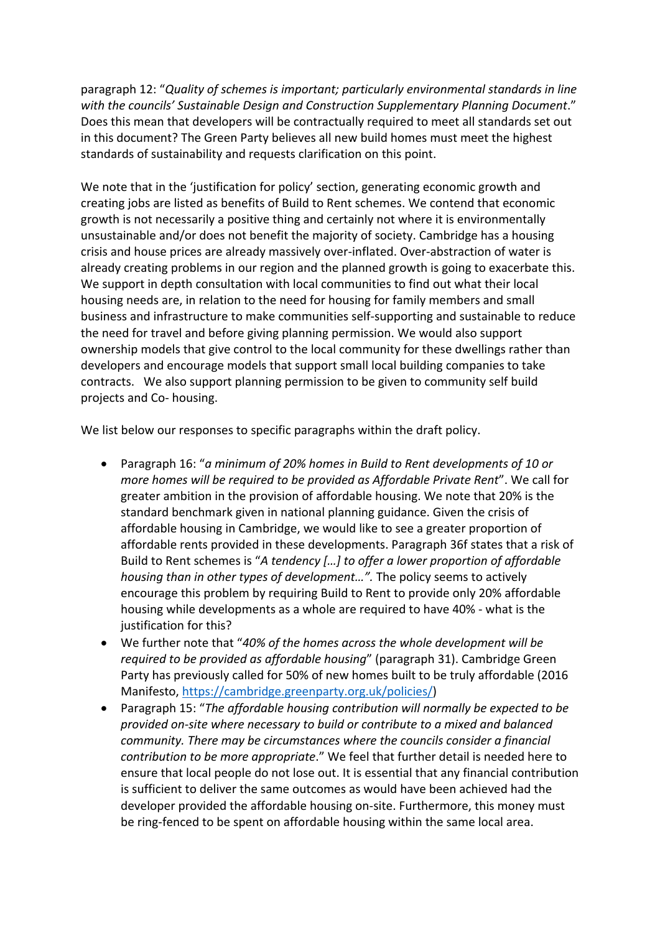paragraph 12: "*Quality of schemes is important; particularly environmental standards in line with the councils' Sustainable Design and Construction Supplementary Planning Document*." Does this mean that developers will be contractually required to meet all standards set out in this document? The Green Party believes all new build homes must meet the highest standards of sustainability and requests clarification on this point.

We note that in the 'justification for policy' section, generating economic growth and creating jobs are listed as benefits of Build to Rent schemes. We contend that economic growth is not necessarily a positive thing and certainly not where it is environmentally unsustainable and/or does not benefit the majority of society. Cambridge has a housing crisis and house prices are already massively over-inflated. Over-abstraction of water is already creating problems in our region and the planned growth is going to exacerbate this. We support in depth consultation with local communities to find out what their local housing needs are, in relation to the need for housing for family members and small business and infrastructure to make communities self-supporting and sustainable to reduce the need for travel and before giving planning permission. We would also support ownership models that give control to the local community for these dwellings rather than developers and encourage models that support small local building companies to take contracts. We also support planning permission to be given to community self build projects and Co- housing.

We list below our responses to specific paragraphs within the draft policy.

- Paragraph 16: "*a minimum of 20% homes in Build to Rent developments of 10 or more homes will be required to be provided as Affordable Private Rent*". We call for greater ambition in the provision of affordable housing. We note that 20% is the standard benchmark given in national planning guidance. Given the crisis of affordable housing in Cambridge, we would like to see a greater proportion of affordable rents provided in these developments. Paragraph 36f states that a risk of Build to Rent schemes is "*A tendency […] to offer a lower proportion of affordable housing than in other types of development…".* The policy seems to actively encourage this problem by requiring Build to Rent to provide only 20% affordable housing while developments as a whole are required to have 40% - what is the justification for this?
- We further note that "*40% of the homes across the whole development will be required to be provided as affordable housing*" (paragraph 31). Cambridge Green Party has previously called for 50% of new homes built to be truly affordable (2016 Manifesto, https://cambridge.greenparty.org.uk/policies/)
- Paragraph 15: "*The affordable housing contribution will normally be expected to be provided on-site where necessary to build or contribute to a mixed and balanced community. There may be circumstances where the councils consider a financial contribution to be more appropriate*." We feel that further detail is needed here to ensure that local people do not lose out. It is essential that any financial contribution is sufficient to deliver the same outcomes as would have been achieved had the developer provided the affordable housing on-site. Furthermore, this money must be ring-fenced to be spent on affordable housing within the same local area.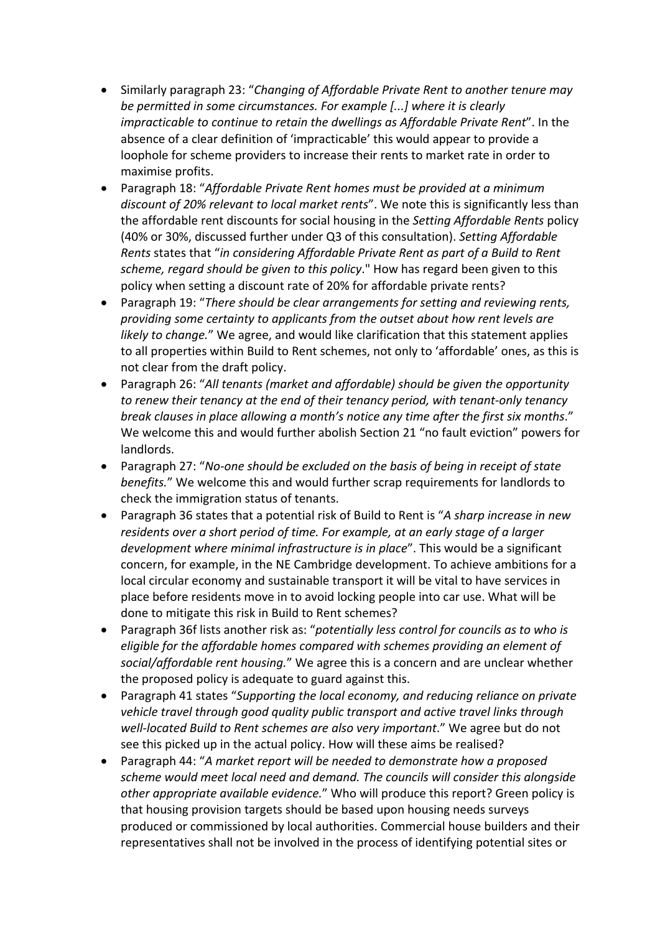- Similarly paragraph 23: "*Changing of Affordable Private Rent to another tenure may be permitted in some circumstances. For example [...] where it is clearly impracticable to continue to retain the dwellings as Affordable Private Rent*". In the absence of a clear definition of 'impracticable' this would appear to provide a loophole for scheme providers to increase their rents to market rate in order to maximise profits.
- Paragraph 18: "*Affordable Private Rent homes must be provided at a minimum discount of 20% relevant to local market rents*". We note this is significantly less than the affordable rent discounts for social housing in the *Setting Affordable Rents* policy (40% or 30%, discussed further under Q3 of this consultation). *Setting Affordable Rents* states that "*in considering Affordable Private Rent as part of a Build to Rent scheme, regard should be given to this policy*." How has regard been given to this policy when setting a discount rate of 20% for affordable private rents?
- Paragraph 19: "*There should be clear arrangements for setting and reviewing rents, providing some certainty to applicants from the outset about how rent levels are likely to change.*" We agree, and would like clarification that this statement applies to all properties within Build to Rent schemes, not only to 'affordable' ones, as this is not clear from the draft policy.
- Paragraph 26: "*All tenants (market and affordable) should be given the opportunity to renew their tenancy at the end of their tenancy period, with tenant-only tenancy break clauses in place allowing a month's notice any time after the first six months*." We welcome this and would further abolish Section 21 "no fault eviction" powers for landlords.
- Paragraph 27: "*No-one should be excluded on the basis of being in receipt of state benefits.*" We welcome this and would further scrap requirements for landlords to check the immigration status of tenants.
- Paragraph 36 states that a potential risk of Build to Rent is "*A sharp increase in new residents over a short period of time. For example, at an early stage of a larger development where minimal infrastructure is in place*". This would be a significant concern, for example, in the NE Cambridge development. To achieve ambitions for a local circular economy and sustainable transport it will be vital to have services in place before residents move in to avoid locking people into car use. What will be done to mitigate this risk in Build to Rent schemes?
- Paragraph 36f lists another risk as: "*potentially less control for councils as to who is eligible for the affordable homes compared with schemes providing an element of social/affordable rent housing.*" We agree this is a concern and are unclear whether the proposed policy is adequate to guard against this.
- Paragraph 41 states "*Supporting the local economy, and reducing reliance on private vehicle travel through good quality public transport and active travel links through well-located Build to Rent schemes are also very important*." We agree but do not see this picked up in the actual policy. How will these aims be realised?
- Paragraph 44: "*A market report will be needed to demonstrate how a proposed scheme would meet local need and demand. The councils will consider this alongside other appropriate available evidence.*" Who will produce this report? Green policy is that housing provision targets should be based upon housing needs surveys produced or commissioned by local authorities. Commercial house builders and their representatives shall not be involved in the process of identifying potential sites or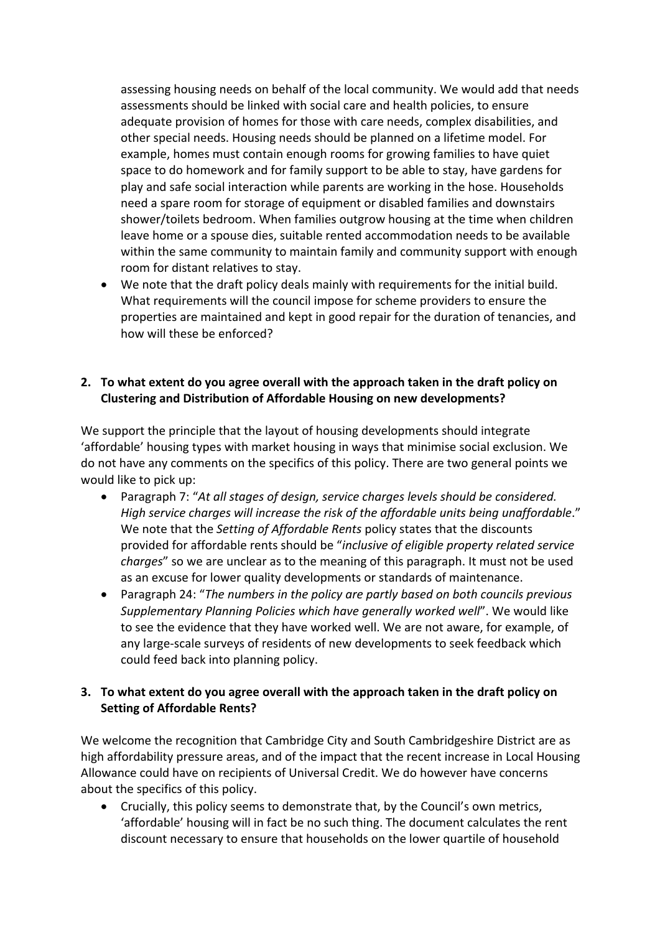assessing housing needs on behalf of the local community. We would add that needs assessments should be linked with social care and health policies, to ensure adequate provision of homes for those with care needs, complex disabilities, and other special needs. Housing needs should be planned on a lifetime model. For example, homes must contain enough rooms for growing families to have quiet space to do homework and for family support to be able to stay, have gardens for play and safe social interaction while parents are working in the hose. Households need a spare room for storage of equipment or disabled families and downstairs shower/toilets bedroom. When families outgrow housing at the time when children leave home or a spouse dies, suitable rented accommodation needs to be available within the same community to maintain family and community support with enough room for distant relatives to stay.

• We note that the draft policy deals mainly with requirements for the initial build. What requirements will the council impose for scheme providers to ensure the properties are maintained and kept in good repair for the duration of tenancies, and how will these be enforced?

### **2. To what extent do you agree overall with the approach taken in the draft policy on Clustering and Distribution of Affordable Housing on new developments?**

We support the principle that the layout of housing developments should integrate 'affordable' housing types with market housing in ways that minimise social exclusion. We do not have any comments on the specifics of this policy. There are two general points we would like to pick up:

- Paragraph 7: "*At all stages of design, service charges levels should be considered. High service charges will increase the risk of the affordable units being unaffordable*." We note that the *Setting of Affordable Rents* policy states that the discounts provided for affordable rents should be "*inclusive of eligible property related service charges*" so we are unclear as to the meaning of this paragraph. It must not be used as an excuse for lower quality developments or standards of maintenance.
- Paragraph 24: "*The numbers in the policy are partly based on both councils previous Supplementary Planning Policies which have generally worked well*". We would like to see the evidence that they have worked well. We are not aware, for example, of any large-scale surveys of residents of new developments to seek feedback which could feed back into planning policy.

# **3. To what extent do you agree overall with the approach taken in the draft policy on Setting of Affordable Rents?**

We welcome the recognition that Cambridge City and South Cambridgeshire District are as high affordability pressure areas, and of the impact that the recent increase in Local Housing Allowance could have on recipients of Universal Credit. We do however have concerns about the specifics of this policy.

• Crucially, this policy seems to demonstrate that, by the Council's own metrics, 'affordable' housing will in fact be no such thing. The document calculates the rent discount necessary to ensure that households on the lower quartile of household